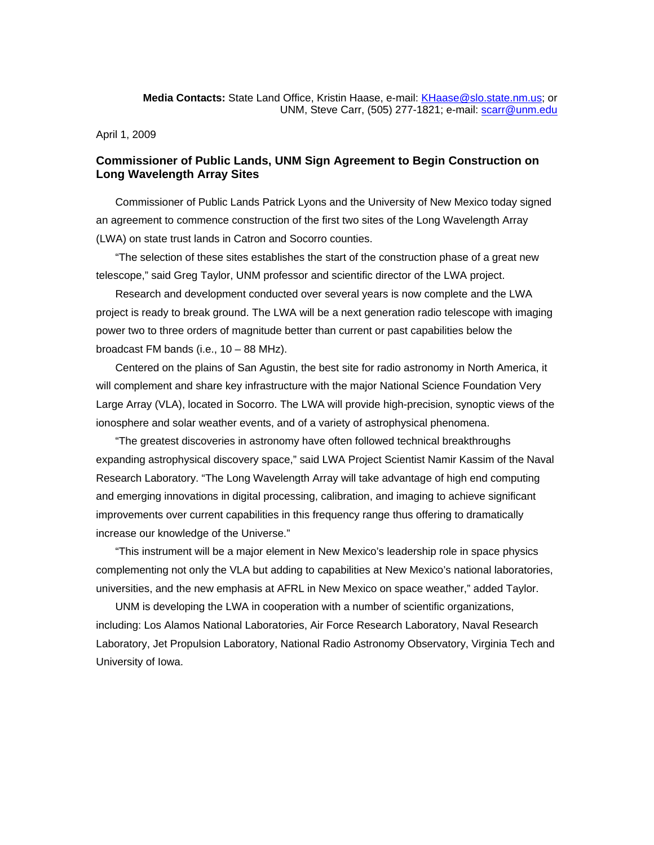**Media Contacts:** State Land Office, Kristin Haase, e-mail: [KHaase@slo.state.nm.us;](mailto:KHaase@slo.state.nm.us) or UNM, Steve Carr, (505) 277-1821; e-mail: [scarr@unm.edu](mailto:scarr@unm.edu)

April 1, 2009

## **Commissioner of Public Lands, UNM Sign Agreement to Begin Construction on Long Wavelength Array Sites**

Commissioner of Public Lands Patrick Lyons and the University of New Mexico today signed an agreement to commence construction of the first two sites of the Long Wavelength Array (LWA) on state trust lands in Catron and Socorro counties.

"The selection of these sites establishes the start of the construction phase of a great new telescope," said Greg Taylor, UNM professor and scientific director of the LWA project.

Research and development conducted over several years is now complete and the LWA project is ready to break ground. The LWA will be a next generation radio telescope with imaging power two to three orders of magnitude better than current or past capabilities below the broadcast FM bands (i.e., 10 – 88 MHz).

Centered on the plains of San Agustin, the best site for radio astronomy in North America, it will complement and share key infrastructure with the major National Science Foundation Very Large Array (VLA), located in Socorro. The LWA will provide high-precision, synoptic views of the ionosphere and solar weather events, and of a variety of astrophysical phenomena.

"The greatest discoveries in astronomy have often followed technical breakthroughs expanding astrophysical discovery space," said LWA Project Scientist Namir Kassim of the Naval Research Laboratory. "The Long Wavelength Array will take advantage of high end computing and emerging innovations in digital processing, calibration, and imaging to achieve significant improvements over current capabilities in this frequency range thus offering to dramatically increase our knowledge of the Universe."

"This instrument will be a major element in New Mexico's leadership role in space physics complementing not only the VLA but adding to capabilities at New Mexico's national laboratories, universities, and the new emphasis at AFRL in New Mexico on space weather," added Taylor.

UNM is developing the LWA in cooperation with a number of scientific organizations, including: Los Alamos National Laboratories, Air Force Research Laboratory, Naval Research Laboratory, Jet Propulsion Laboratory, National Radio Astronomy Observatory, Virginia Tech and University of Iowa.